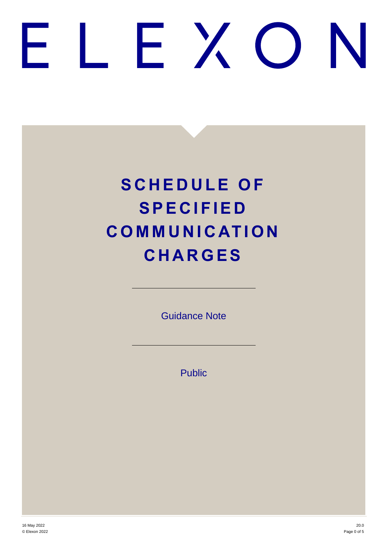# FXO

# **SCHEDULE OF S P E C I F I E D C O M M U N I C AT I O N C H A R G E S**

Guidance Note

Public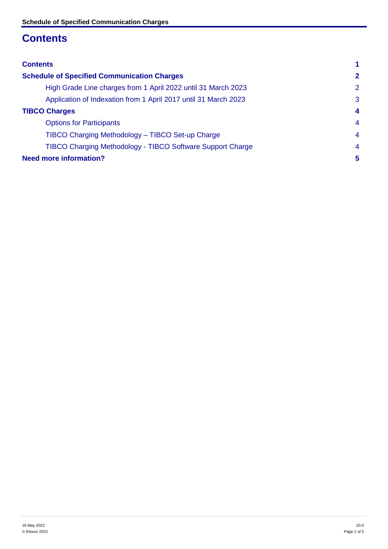# <span id="page-1-0"></span>**Contents**

| <b>Contents</b>                                                   |                         |
|-------------------------------------------------------------------|-------------------------|
| <b>Schedule of Specified Communication Charges</b>                | $\mathbf{2}$            |
| High Grade Line charges from 1 April 2022 until 31 March 2023     | 2                       |
| Application of Indexation from 1 April 2017 until 31 March 2023   | 3                       |
| <b>TIBCO Charges</b>                                              | $\overline{\mathbf{4}}$ |
| <b>Options for Participants</b>                                   | $\overline{4}$          |
| TIBCO Charging Methodology - TIBCO Set-up Charge                  | $\overline{4}$          |
| <b>TIBCO Charging Methodology - TIBCO Software Support Charge</b> | $\overline{4}$          |
| <b>Need more information?</b>                                     | 5                       |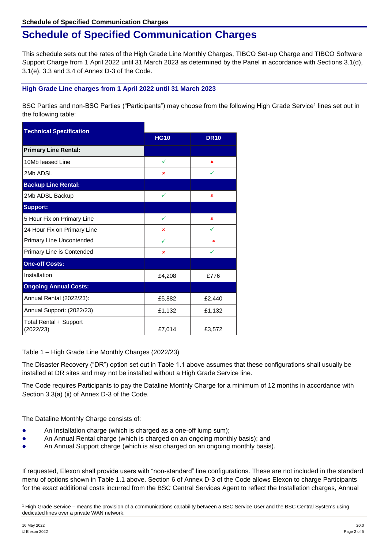# <span id="page-2-0"></span>**Schedule of Specified Communication Charges**

This schedule sets out the rates of the High Grade Line Monthly Charges, TIBCO Set-up Charge and TIBCO Software Support Charge from 1 April 2022 until 31 March 2023 as determined by the Panel in accordance with Sections 3.1(d), 3.1(e), 3.3 and 3.4 of Annex D-3 of the Code.

# <span id="page-2-1"></span>**High Grade Line charges from 1 April 2022 until 31 March 2023**

BSC Parties and non-BSC Parties ("Participants") may choose from the following High Grade Service<sup>1</sup> lines set out in the following table:

| <b>Technical Specification</b>      |             |             |
|-------------------------------------|-------------|-------------|
|                                     | <b>HG10</b> | <b>DR10</b> |
| <b>Primary Line Rental:</b>         |             |             |
| 10Mb leased Line                    | ✓           | ×           |
| 2Mb ADSL                            | ×           | ✓           |
| <b>Backup Line Rental:</b>          |             |             |
| 2Mb ADSL Backup                     | ✓           | ×           |
| <b>Support:</b>                     |             |             |
| 5 Hour Fix on Primary Line          | ✓           | ×           |
| 24 Hour Fix on Primary Line         | ×           | ✓           |
| Primary Line Uncontended            | ✓           | ×           |
| Primary Line is Contended           | ×           |             |
| <b>One-off Costs:</b>               |             |             |
| Installation                        | £4,208      | £776        |
| <b>Ongoing Annual Costs:</b>        |             |             |
| Annual Rental (2022/23):            | £5,882      | £2,440      |
| Annual Support: (2022/23)           | £1,132      | £1,132      |
| Total Rental + Support<br>(2022/23) | £7,014      | £3,572      |

Table 1 – High Grade Line Monthly Charges (2022/23)

The Disaster Recovery ("DR") option set out in Table 1.1 above assumes that these configurations shall usually be installed at DR sites and may not be installed without a High Grade Service line.

The Code requires Participants to pay the Dataline Monthly Charge for a minimum of 12 months in accordance with Section 3.3(a) (ii) of Annex D-3 of the Code.

The Dataline Monthly Charge consists of:

- An Installation charge (which is charged as a one-off lump sum);
- An Annual Rental charge (which is charged on an ongoing monthly basis); and
- An Annual Support charge (which is also charged on an ongoing monthly basis).

If requested, Elexon shall provide users with "non-standard" line configurations. These are not included in the standard menu of options shown in Table 1.1 above. Section 6 of Annex D-3 of the Code allows Elexon to charge Participants for the exact additional costs incurred from the BSC Central Services Agent to reflect the Installation charges, Annual

l

<sup>1</sup> High Grade Service – means the provision of a communications capability between a BSC Service User and the BSC Central Systems using dedicated lines over a private WAN network.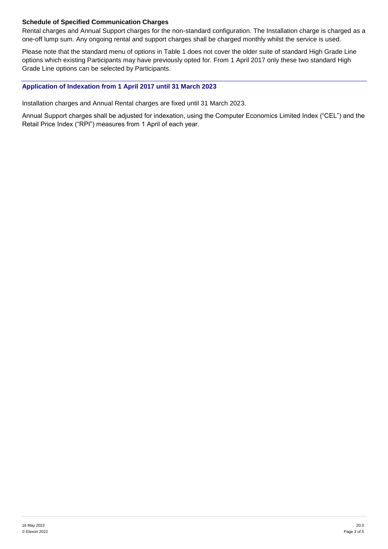# **Schedule of Specified Communication Charges**

Rental charges and Annual Support charges for the non-standard configuration. The Installation charge is charged as a one-off lump sum. Any ongoing rental and support charges shall be charged monthly whilst the service is used.

Please note that the standard menu of options in Table 1 does not cover the older suite of standard High Grade Line options which existing Participants may have previously opted for. From 1 April 2017 only these two standard High Grade Line options can be selected by Participants.

### <span id="page-3-0"></span>**Application of Indexation from 1 April 2017 until 31 March 2023**

Installation charges and Annual Rental charges are fixed until 31 March 2023.

Annual Support charges shall be adjusted for indexation, using the Computer Economics Limited Index ("CEL") and the Retail Price Index ("RPI") measures from 1 April of each year.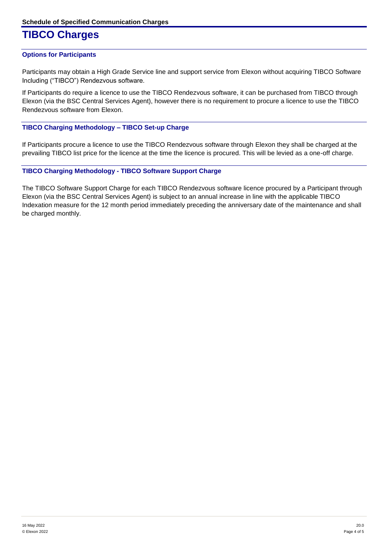# <span id="page-4-0"></span>**TIBCO Charges**

## <span id="page-4-1"></span>**Options for Participants**

Participants may obtain a High Grade Service line and support service from Elexon without acquiring TIBCO Software Including ("TIBCO") Rendezvous software.

If Participants do require a licence to use the TIBCO Rendezvous software, it can be purchased from TIBCO through Elexon (via the BSC Central Services Agent), however there is no requirement to procure a licence to use the TIBCO Rendezvous software from Elexon.

## <span id="page-4-2"></span>**TIBCO Charging Methodology – TIBCO Set-up Charge**

If Participants procure a licence to use the TIBCO Rendezvous software through Elexon they shall be charged at the prevailing TIBCO list price for the licence at the time the licence is procured. This will be levied as a one-off charge.

## <span id="page-4-3"></span>**TIBCO Charging Methodology - TIBCO Software Support Charge**

The TIBCO Software Support Charge for each TIBCO Rendezvous software licence procured by a Participant through Elexon (via the BSC Central Services Agent) is subject to an annual increase in line with the applicable TIBCO Indexation measure for the 12 month period immediately preceding the anniversary date of the maintenance and shall be charged monthly.